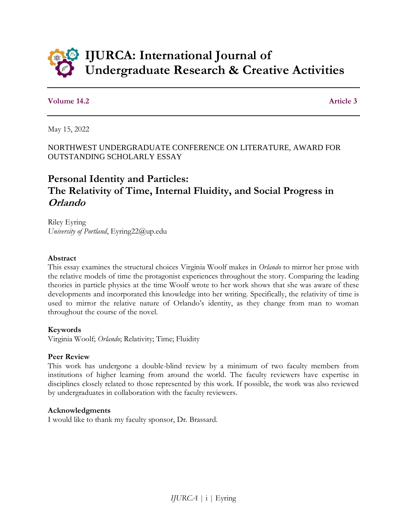

### **Volume 14.2** Article 3

May 15, 2022

NORTHWEST UNDERGRADUATE CONFERENCE ON LITERATURE, AWARD FOR OUTSTANDING SCHOLARLY ESSAY

# **Personal Identity and Particles: The Relativity of Time, Internal Fluidity, and Social Progress in Orlando**

Riley Eyring *University of Portland*, Eyring22@up.edu

#### **Abstract**

This essay examines the structural choices Virginia Woolf makes in *Orlando* to mirror her prose with the relative models of time the protagonist experiences throughout the story. Comparing the leading theories in particle physics at the time Woolf wrote to her work shows that she was aware of these developments and incorporated this knowledge into her writing. Specifically, the relativity of time is used to mirror the relative nature of Orlando's identity, as they change from man to woman throughout the course of the novel.

#### **Keywords**

Virginia Woolf; *Orlando*; Relativity; Time; Fluidity

#### **Peer Review**

This work has undergone a double-blind review by a minimum of two faculty members from institutions of higher learning from around the world. The faculty reviewers have expertise in disciplines closely related to those represented by this work. If possible, the work was also reviewed by undergraduates in collaboration with the faculty reviewers.

#### **Acknowledgments**

I would like to thank my faculty sponsor, Dr. Brassard.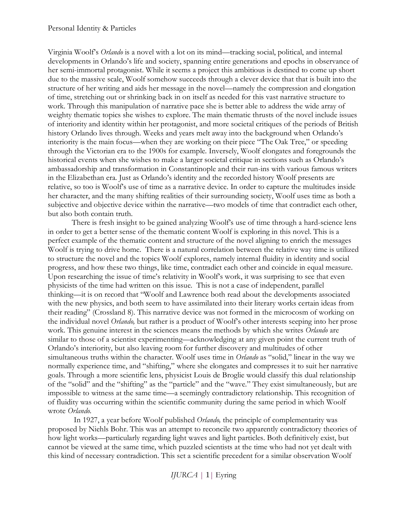Virginia Woolf's *Orlando* is a novel with a lot on its mind—tracking social, political, and internal developments in Orlando's life and society, spanning entire generations and epochs in observance of her semi-immortal protagonist. While it seems a project this ambitious is destined to come up short due to the massive scale, Woolf somehow succeeds through a clever device that that is built into the structure of her writing and aids her message in the novel—namely the compression and elongation of time, stretching out or shrinking back in on itself as needed for this vast narrative structure to work. Through this manipulation of narrative pace she is better able to address the wide array of weighty thematic topics she wishes to explore. The main thematic thrusts of the novel include issues of interiority and identity within her protagonist, and more societal critiques of the periods of British history Orlando lives through. Weeks and years melt away into the background when Orlando's interiority is the main focus—when they are working on their piece "The Oak Tree," or speeding through the Victorian era to the 1900s for example. Inversely, Woolf elongates and foregrounds the historical events when she wishes to make a larger societal critique in sections such as Orlando's ambassadorship and transformation in Constantinople and their run-ins with various famous writers in the Elizabethan era. Just as Orlando's identity and the recorded history Woolf presents are relative, so too is Woolf's use of time as a narrative device. In order to capture the multitudes inside her character, and the many shifting realities of their surrounding society, Woolf uses time as both a subjective and objective device within the narrative—two models of time that contradict each other, but also both contain truth.

There is fresh insight to be gained analyzing Woolf's use of time through a hard-science lens in order to get a better sense of the thematic content Woolf is exploring in this novel. This is a perfect example of the thematic content and structure of the novel aligning to enrich the messages Woolf is trying to drive home. There is a natural correlation between the relative way time is utilized to structure the novel and the topics Woolf explores, namely internal fluidity in identity and social progress, and how these two things, like time, contradict each other and coincide in equal measure. Upon researching the issue of time's relativity in Woolf's work, it was surprising to see that even physicists of the time had written on this issue. This is not a case of independent, parallel thinking—it is on record that "Woolf and Lawrence both read about the developments associated with the new physics, and both seem to have assimilated into their literary works certain ideas from their reading" (Crossland 8). This narrative device was not formed in the microcosm of working on the individual novel *Orlando,* but rather is a product of Woolf's other interests seeping into her prose work. This genuine interest in the sciences means the methods by which she writes *Orlando* are similar to those of a scientist experimenting—acknowledging at any given point the current truth of Orlando's interiority, but also leaving room for further discovery and multitudes of other simultaneous truths within the character. Woolf uses time in *Orlando* as "solid," linear in the way we normally experience time, and "shifting," where she elongates and compresses it to suit her narrative goals. Through a more scientific lens, physicist Louis de Broglie would classify this dual relationship of the "solid" and the "shifting" as the "particle" and the "wave." They exist simultaneously, but are impossible to witness at the same time—a seemingly contradictory relationship. This recognition of of fluidity was occurring within the scientific community during the same period in which Woolf wrote *Orlando.*

In 1927, a year before Woolf published *Orlando,* the principle of complementarity was proposed by Niehls Bohr. This was an attempt to reconcile two apparently contradictory theories of how light works—particularly regarding light waves and light particles. Both definitively exist, but cannot be viewed at the same time, which puzzled scientists at the time who had not yet dealt with this kind of necessary contradiction. This set a scientific precedent for a similar observation Woolf

*IJURCA* | 1| Eyring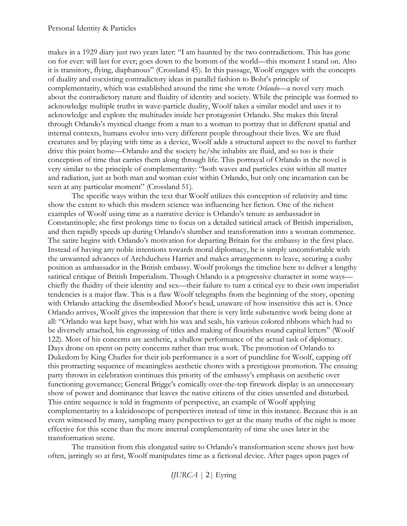makes in a 1929 diary just two years later: "I am haunted by the two contradictions. This has gone on for ever: will last for ever; goes down to the bottom of the world—this moment I stand on. Also it is transitory, flying, diaphanous" (Crossland 45). In this passage, Woolf engages with the concepts of duality and coexisting contradictory ideas in parallel fashion to Bohr's principle of complementarity, which was established around the time she wrote *Orlando—*a novel very much about the contradictory nature and fluidity of identity and society. While the principle was formed to acknowledge multiple truths in wave-particle duality, Woolf takes a similar model and uses it to acknowledge and explore the multitudes inside her protagonist Orlando. She makes this literal through Orlando's mystical change from a man to a woman to portray that in different spatial and internal contexts, humans evolve into very different people throughout their lives. We are fluid creatures and by playing with time as a device, Woolf adds a structural aspect to the novel to further drive this point home—Orlando and the society he/she inhabits are fluid, and so too is their conception of time that carries them along through life. This portrayal of Orlando in the novel is very similar to the principle of complementarity: "both waves and particles exist within all matter and radiation, just as both man and woman exist within Orlando, but only one incarnation can be seen at any particular moment" (Crossland 51).

The specific ways within the text that Woolf utilizes this conception of relativity and time show the extent to which this modern science was influencing her fiction. One of the richest examples of Woolf using time as a narrative device is Orlando's tenure as ambassador in Constantinople; she first prolongs time to focus on a detailed satirical attack of British imperialism, and then rapidly speeds up during Orlando's slumber and transformation into a woman commence. The satire begins with Orlando's motivation for departing Britain for the embassy in the first place. Instead of having any noble intentions towards moral diplomacy, he is simply uncomfortable with the unwanted advances of Archduchess Harriet and makes arrangements to leave, securing a cushy position as ambassador in the British embassy. Woolf prolongs the timeline here to deliver a lengthy satirical critique of British Imperialism. Though Orlando is a progressive character in some ways chiefly the fluidity of their identity and sex—their failure to turn a critical eye to their own imperialist tendencies is a major flaw. This is a flaw Woolf telegraphs from the beginning of the story, opening with Orlando attacking the disembodied Moor's head, unaware of how insensitive this act is. Once Orlando arrives, Woolf gives the impression that there is very little substantive work being done at all: "Orlando was kept busy, what with his wax and seals, his various colored ribbons which had to be diversely attached, his engrossing of titles and making of flourishes round capital letters" (Woolf 122). Most of his concerns are aesthetic, a shallow performance of the actual task of diplomacy. Days drone on spent on petty concerns rather than true work. The promotion of Orlando to Dukedom by King Charles for their job performance is a sort of punchline for Woolf, capping off this protracting sequence of meaningless aesthetic chores with a prestigious promotion. The ensuing party thrown in celebration continues this priority of the embassy's emphasis on aesthetic over functioning governance; General Brigge's comically over-the-top firework display is an unnecessary show of power and dominance that leaves the native citizens of the cities unsettled and disturbed. This entire sequence is told in fragments of perspective, an example of Woolf applying complementarity to a kaleidoscope of perspectives instead of time in this instance. Because this is an event witnessed by many, sampling many perspectives to get at the many truths of the night is more effective for this scene than the more internal complementarity of time she uses later in the transformation scene.

The transition from this elongated satire to Orlando's transformation scene shows just how often, jarringly so at first, Woolf manipulates time as a fictional device. After pages upon pages of

*IJURCA* | 2| Eyring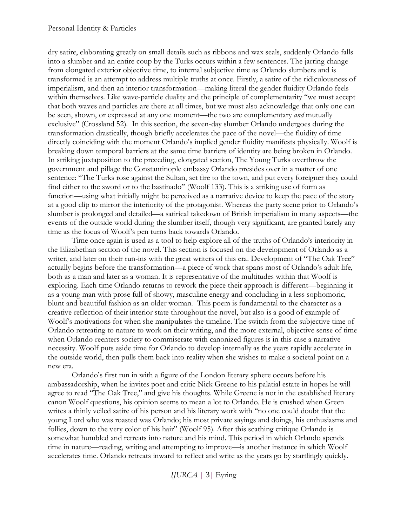dry satire, elaborating greatly on small details such as ribbons and wax seals, suddenly Orlando falls into a slumber and an entire coup by the Turks occurs within a few sentences. The jarring change from elongated exterior objective time, to internal subjective time as Orlando slumbers and is transformed is an attempt to address multiple truths at once. Firstly, a satire of the ridiculousness of imperialism, and then an interior transformation—making literal the gender fluidity Orlando feels within themselves. Like wave-particle duality and the principle of complementarity "we must accept that both waves and particles are there at all times, but we must also acknowledge that only one can be seen, shown, or expressed at any one moment—the two are complementary *and* mutually exclusive" (Crossland 52). In this section, the seven-day slumber Orlando undergoes during the transformation drastically, though briefly accelerates the pace of the novel—the fluidity of time directly coinciding with the moment Orlando's implied gender fluidity manifests physically. Woolf is breaking down temporal barriers at the same time barriers of identity are being broken in Orlando. In striking juxtaposition to the preceding, elongated section, The Young Turks overthrow the government and pillage the Constantinople embassy Orlando presides over in a matter of one sentence: "The Turks rose against the Sultan, set fire to the town, and put every foreigner they could find either to the sword or to the bastinado" (Woolf 133). This is a striking use of form as function—using what initially might be perceived as a narrative device to keep the pace of the story at a good clip to mirror the interiority of the protagonist. Whereas the party scene prior to Orlando's slumber is prolonged and detailed—a satirical takedown of British imperialism in many aspects—the events of the outside world during the slumber itself, though very significant, are granted barely any time as the focus of Woolf's pen turns back towards Orlando.

Time once again is used as a tool to help explore all of the truths of Orlando's interiority in the Elizabethan section of the novel. This section is focused on the development of Orlando as a writer, and later on their run-ins with the great writers of this era. Development of "The Oak Tree" actually begins before the transformation—a piece of work that spans most of Orlando's adult life, both as a man and later as a woman. It is representative of the multitudes within that Woolf is exploring. Each time Orlando returns to rework the piece their approach is different—beginning it as a young man with prose full of showy, masculine energy and concluding in a less sophomoric, blunt and beautiful fashion as an older woman. This poem is fundamental to the character as a creative reflection of their interior state throughout the novel, but also is a good of example of Woolf's motivations for when she manipulates the timeline. The switch from the subjective time of Orlando retreating to nature to work on their writing, and the more external, objective sense of time when Orlando reenters society to commiserate with canonized figures is in this case a narrative necessity. Woolf puts aside time for Orlando to develop internally as the years rapidly accelerate in the outside world, then pulls them back into reality when she wishes to make a societal point on a new era.

Orlando's first run in with a figure of the London literary sphere occurs before his ambassadorship, when he invites poet and critic Nick Greene to his palatial estate in hopes he will agree to read "The Oak Tree," and give his thoughts. While Greene is not in the established literary canon Woolf questions, his opinion seems to mean a lot to Orlando. He is crushed when Green writes a thinly veiled satire of his person and his literary work with "no one could doubt that the young Lord who was roasted was Orlando; his most private sayings and doings, his enthusiasms and follies, down to the very color of his hair" (Woolf 95). After this scathing critique Orlando is somewhat humbled and retreats into nature and his mind. This period in which Orlando spends time in nature—reading, writing and attempting to improve—is another instance in which Woolf accelerates time. Orlando retreats inward to reflect and write as the years go by startlingly quickly.

*IJURCA* | 3| Eyring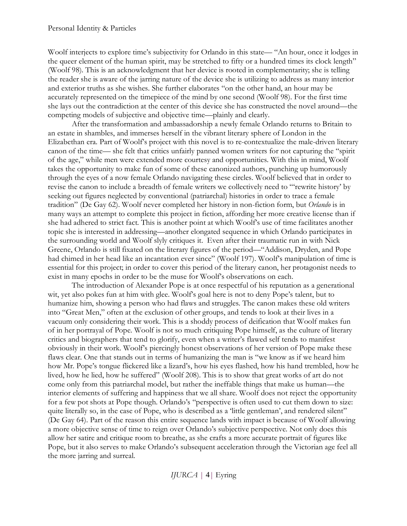Woolf interjects to explore time's subjectivity for Orlando in this state— "An hour, once it lodges in the queer element of the human spirit, may be stretched to fifty or a hundred times its clock length" (Woolf 98). This is an acknowledgment that her device is rooted in complementarity; she is telling the reader she is aware of the jarring nature of the device she is utilizing to address as many interior and exterior truths as she wishes. She further elaborates "on the other hand, an hour may be accurately represented on the timepiece of the mind by one second (Woolf 98). For the first time she lays out the contradiction at the center of this device she has constructed the novel around—the competing models of subjective and objective time—plainly and clearly.

After the transformation and ambassadorship a newly female Orlando returns to Britain to an estate in shambles, and immerses herself in the vibrant literary sphere of London in the Elizabethan era. Part of Woolf's project with this novel is to re-contextualize the male-driven literary canon of the time— she felt that critics unfairly panned women writers for not capturing the "spirit of the age," while men were extended more courtesy and opportunities. With this in mind, Woolf takes the opportunity to make fun of some of these canonized authors, punching up humorously through the eyes of a now female Orlando navigating these circles. Woolf believed that in order to revise the canon to include a breadth of female writers we collectively need to "'rewrite history' by seeking out figures neglected by conventional (patriarchal) histories in order to trace a female tradition" (De Gay 62). Woolf never completed her history in non-fiction form, but *Orlando* is in many ways an attempt to complete this project in fiction, affording her more creative license than if she had adhered to strict fact. This is another point at which Woolf's use of time facilitates another topic she is interested in addressing—another elongated sequence in which Orlando participates in the surrounding world and Woolf slyly critiques it. Even after their traumatic run in with Nick Greene, Orlando is still fixated on the literary figures of the period—"Addison, Dryden, and Pope had chimed in her head like an incantation ever since" (Woolf 197). Woolf's manipulation of time is essential for this project; in order to cover this period of the literary canon, her protagonist needs to exist in many epochs in order to be the muse for Woolf's observations on each.

The introduction of Alexander Pope is at once respectful of his reputation as a generational wit, yet also pokes fun at him with glee. Woolf's goal here is not to deny Pope's talent, but to humanize him, showing a person who had flaws and struggles. The canon makes these old writers into "Great Men," often at the exclusion of other groups, and tends to look at their lives in a vacuum only considering their work. This is a shoddy process of deification that Woolf makes fun of in her portrayal of Pope. Woolf is not so much critiquing Pope himself, as the culture of literary critics and biographers that tend to glorify, even when a writer's flawed self tends to manifest obviously in their work. Woolf's piercingly honest observations of her version of Pope make these flaws clear. One that stands out in terms of humanizing the man is "we know as if we heard him how Mr. Pope's tongue flickered like a lizard's, how his eyes flashed, how his hand trembled, how he lived, how he lied, how he suffered" (Woolf 208). This is to show that great works of art do not come only from this patriarchal model, but rather the ineffable things that make us human—the interior elements of suffering and happiness that we all share. Woolf does not reject the opportunity for a few pot shots at Pope though. Orlando's "perspective is often used to cut them down to size: quite literally so, in the case of Pope, who is described as a 'little gentleman', and rendered silent" (De Gay 64). Part of the reason this entire sequence lands with impact is because of Woolf allowing a more objective sense of time to reign over Orlando's subjective perspective. Not only does this allow her satire and critique room to breathe, as she crafts a more accurate portrait of figures like Pope, but it also serves to make Orlando's subsequent acceleration through the Victorian age feel all the more jarring and surreal.

*IJURCA* | 4| Eyring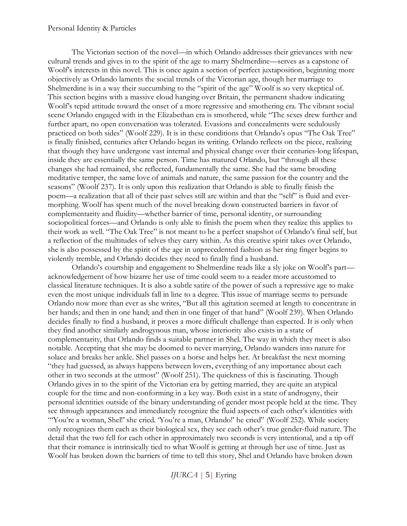#### Personal Identity & Particles

The Victorian section of the novel—in which Orlando addresses their grievances with new cultural trends and gives in to the spirit of the age to marry Shelmerdine—serves as a capstone of Woolf's interests in this novel. This is once again a section of perfect juxtaposition, beginning more objectively as Orlando laments the social trends of the Victorian age, though her marriage to Shelmerdine is in a way their succumbing to the "spirit of the age" Woolf is so very skeptical of. This section begins with a massive cloud hanging over Britain, the permanent shadow indicating Woolf's tepid attitude toward the onset of a more regressive and smothering era. The vibrant social scene Orlando engaged with in the Elizabethan era is smothered, while "The sexes drew further and further apart, no open conversation was tolerated. Evasions and concealments were sedulously practiced on both sides" (Woolf 229). It is in these conditions that Orlando's opus "The Oak Tree" is finally finished, centuries after Orlando began its writing. Orlando reflects on the piece, realizing that though they have undergone vast internal and physical change over their centuries-long lifespan, inside they are essentially the same person. Time has matured Orlando, but "through all these changes she had remained, she reflected, fundamentally the same. She had the same brooding meditative temper, the same love of animals and nature, the same passion for the country and the seasons" (Woolf 237). It is only upon this realization that Orlando is able to finally finish the poem—a realization that all of their past selves still are within and that the "self" is fluid and evermorphing. Woolf has spent much of the novel breaking down constructed barriers in favor of complementarity and fluidity—whether barrier of time, personal identity, or surrounding sociopolitical forces—and Orlando is only able to finish the poem when they realize this applies to their work as well. "The Oak Tree" is not meant to be a perfect snapshot of Orlando's final self, but a reflection of the multitudes of selves they carry within. As this creative spirit takes over Orlando, she is also possessed by the spirit of the age in unprecedented fashion as her ring finger begins to violently tremble, and Orlando decides they need to finally find a husband.

Orlando's courtship and engagement to Shelmerdine reads like a sly joke on Woolf's part acknowledgement of how bizarre her use of time could seem to a reader more accustomed to classical literature techniques. It is also a subtle satire of the power of such a repressive age to make even the most unique individuals fall in line to a degree. This issue of marriage seems to persuade Orlando now more than ever as she writes, "But all this agitation seemed at length to concentrate in her hands; and then in one hand; and then in one finger of that hand" (Woolf 239). When Orlando decides finally to find a husband, it proves a more difficult challenge than expected. It is only when they find another similarly androgynous man, whose interiority also exists in a state of complementarity, that Orlando finds a suitable partner in Shel. The way in which they meet is also notable. Accepting that she may be doomed to never marrying, Orlando wanders into nature for solace and breaks her ankle. Shel passes on a horse and helps her. At breakfast the next morning "they had guessed, as always happens between lovers, everything of any importance about each other in two seconds at the utmost" (Woolf 251). The quickness of this is fascinating. Though Orlando gives in to the spirit of the Victorian era by getting married, they are quite an atypical couple for the time and non-conforming in a key way. Both exist in a state of androgyny, their personal identities outside of the binary understanding of gender most people held at the time. They see through appearances and immediately recognize the fluid aspects of each other's identities with "You're a woman, Shel!' she cried. 'You're a man, Orlando!' he cried" (Woolf 252). While society only recognizes them each as their biological sex, they see each other's true gender-fluid nature. The detail that the two fell for each other in approximately two seconds is very intentional, and a tip off that their romance is intrinsically tied to what Woolf is getting at through her use of time. Just as Woolf has broken down the barriers of time to tell this story, Shel and Orlando have broken down

*IJURCA* | 5| Eyring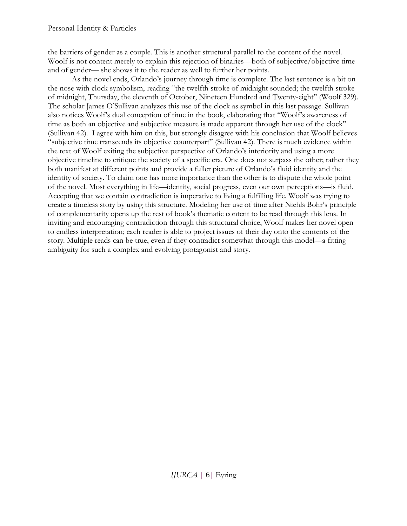the barriers of gender as a couple. This is another structural parallel to the content of the novel. Woolf is not content merely to explain this rejection of binaries—both of subjective/objective time and of gender— she shows it to the reader as well to further her points.

As the novel ends, Orlando's journey through time is complete. The last sentence is a bit on the nose with clock symbolism, reading "the twelfth stroke of midnight sounded; the twelfth stroke of midnight, Thursday, the eleventh of October, Nineteen Hundred and Twenty-eight" (Woolf 329). The scholar James O'Sullivan analyzes this use of the clock as symbol in this last passage. Sullivan also notices Woolf's dual conception of time in the book, elaborating that "Woolf's awareness of time as both an objective and subjective measure is made apparent through her use of the clock" (Sullivan 42). I agree with him on this, but strongly disagree with his conclusion that Woolf believes "subjective time transcends its objective counterpart" (Sullivan 42). There is much evidence within the text of Woolf exiting the subjective perspective of Orlando's interiority and using a more objective timeline to critique the society of a specific era. One does not surpass the other; rather they both manifest at different points and provide a fuller picture of Orlando's fluid identity and the identity of society. To claim one has more importance than the other is to dispute the whole point of the novel. Most everything in life—identity, social progress, even our own perceptions—is fluid. Accepting that we contain contradiction is imperative to living a fulfilling life. Woolf was trying to create a timeless story by using this structure. Modeling her use of time after Niehls Bohr's principle of complementarity opens up the rest of book's thematic content to be read through this lens. In inviting and encouraging contradiction through this structural choice, Woolf makes her novel open to endless interpretation; each reader is able to project issues of their day onto the contents of the story. Multiple reads can be true, even if they contradict somewhat through this model—a fitting ambiguity for such a complex and evolving protagonist and story.